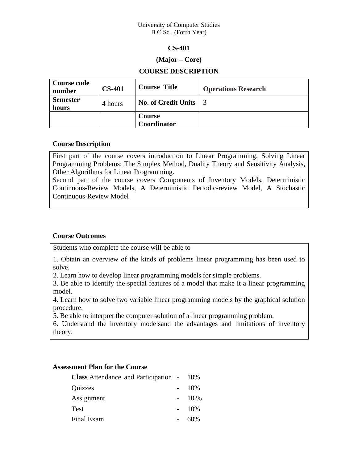#### University of Computer Studies B.C.Sc. (Forth Year)

## **CS-401**

## **(Major – Core)**

## **COURSE DESCRIPTION**

| <b>Course code</b><br>number | <b>CS-401</b> | <b>Course Title</b>          | <b>Operations Research</b> |
|------------------------------|---------------|------------------------------|----------------------------|
| <b>Semester</b><br>hours     | 4 hours       | <b>No. of Credit Units</b>   |                            |
|                              |               | <b>Course</b><br>Coordinator |                            |

## **Course Description**

First part of the course covers introduction to Linear Programming, Solving Linear Programming Problems: The Simplex Method, Duality Theory and Sensitivity Analysis, Other Algorithms for Linear Programming.

Second part of the course covers Components of Inventory Models, Deterministic Continuous-Review Models, A Deterministic Periodic-review Model, A Stochastic Continuous-Review Model

## **Course Outcomes**

Students who complete the course will be able to

1. Obtain an overview of the kinds of problems linear programming has been used to solve.

2. Learn how to develop linear programming models for simple problems.

3. Be able to identify the special features of a model that make it a linear programming model.

4. Learn how to solve two variable linear programming models by the graphical solution procedure.

5. Be able to interpret the computer solution of a linear programming problem.

6. Understand the inventory modelsand the advantages and limitations of inventory theory.

## **Assessment Plan for the Course**

| <b>Class</b> Attendance and Participation - 10% |        |
|-------------------------------------------------|--------|
| Quizzes                                         | 10%    |
| Assignment                                      | $10\%$ |
| <b>Test</b>                                     | 10%    |
| Final Exam                                      | 60%    |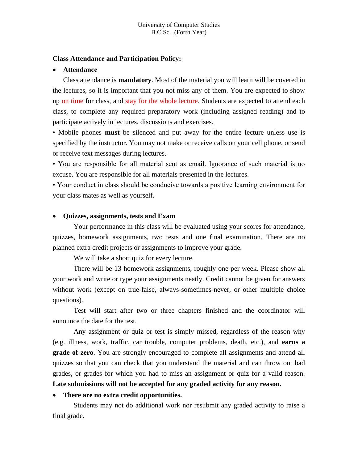## **Class Attendance and Participation Policy:**

#### • **Attendance**

Class attendance is **mandatory**. Most of the material you will learn will be covered in the lectures, so it is important that you not miss any of them. You are expected to show up on time for class, and stay for the whole lecture. Students are expected to attend each class, to complete any required preparatory work (including assigned reading) and to participate actively in lectures, discussions and exercises.

• Mobile phones **must** be silenced and put away for the entire lecture unless use is specified by the instructor. You may not make or receive calls on your cell phone, or send or receive text messages during lectures.

• You are responsible for all material sent as email. Ignorance of such material is no excuse. You are responsible for all materials presented in the lectures.

• Your conduct in class should be conducive towards a positive learning environment for your class mates as well as yourself.

#### • **Quizzes, assignments, tests and Exam**

Your performance in this class will be evaluated using your scores for attendance, quizzes, homework assignments, two tests and one final examination. There are no planned extra credit projects or assignments to improve your grade.

We will take a short quiz for every lecture.

There will be 13 homework assignments, roughly one per week. Please show all your work and write or type your assignments neatly. Credit cannot be given for answers without work (except on true-false, always-sometimes-never, or other multiple choice questions).

Test will start after two or three chapters finished and the coordinator will announce the date for the test.

Any assignment or quiz or test is simply missed, regardless of the reason why (e.g. illness, work, traffic, car trouble, computer problems, death, etc.), and **earns a grade of zero**. You are strongly encouraged to complete all assignments and attend all quizzes so that you can check that you understand the material and can throw out bad grades, or grades for which you had to miss an assignment or quiz for a valid reason.

## **Late submissions will not be accepted for any graded activity for any reason.**

#### • **There are no extra credit opportunities.**

Students may not do additional work nor resubmit any graded activity to raise a final grade.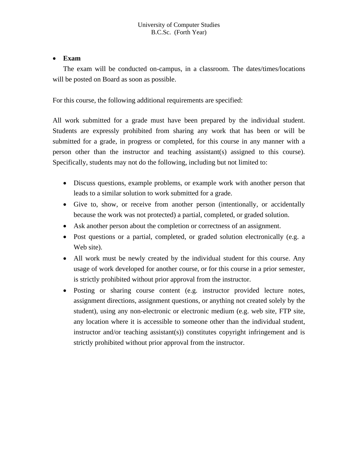# • **Exam**

The exam will be conducted on-campus, in a classroom. The dates/times/locations will be posted on Board as soon as possible.

For this course, the following additional requirements are specified:

All work submitted for a grade must have been prepared by the individual student. Students are expressly prohibited from sharing any work that has been or will be submitted for a grade, in progress or completed, for this course in any manner with a person other than the instructor and teaching assistant(s) assigned to this course). Specifically, students may not do the following, including but not limited to:

- Discuss questions, example problems, or example work with another person that leads to a similar solution to work submitted for a grade.
- Give to, show, or receive from another person (intentionally, or accidentally because the work was not protected) a partial, completed, or graded solution.
- Ask another person about the completion or correctness of an assignment.
- Post questions or a partial, completed, or graded solution electronically (e.g. a Web site).
- All work must be newly created by the individual student for this course. Any usage of work developed for another course, or for this course in a prior semester, is strictly prohibited without prior approval from the instructor.
- Posting or sharing course content (e.g. instructor provided lecture notes, assignment directions, assignment questions, or anything not created solely by the student), using any non-electronic or electronic medium (e.g. web site, FTP site, any location where it is accessible to someone other than the individual student, instructor and/or teaching assistant(s)) constitutes copyright infringement and is strictly prohibited without prior approval from the instructor.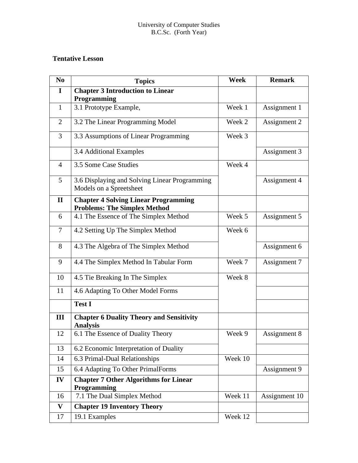# **Tentative Lesson**

| N <sub>0</sub> | <b>Topics</b>                                                                      | <b>Week</b> | <b>Remark</b> |
|----------------|------------------------------------------------------------------------------------|-------------|---------------|
| $\mathbf I$    | <b>Chapter 3 Introduction to Linear</b><br>Programming                             |             |               |
| $\mathbf{1}$   | 3.1 Prototype Example,                                                             | Week 1      | Assignment 1  |
| $\overline{2}$ | 3.2 The Linear Programming Model                                                   | Week 2      | Assignment 2  |
| 3              | 3.3 Assumptions of Linear Programming                                              | Week 3      |               |
|                | 3.4 Additional Examples                                                            |             | Assignment 3  |
| $\overline{4}$ | 3.5 Some Case Studies<br>Week 4                                                    |             |               |
| 5              | 3.6 Displaying and Solving Linear Programming<br>Models on a Spreetsheet           |             | Assignment 4  |
| $\mathbf{I}$   | <b>Chapter 4 Solving Linear Programming</b><br><b>Problems: The Simplex Method</b> |             |               |
| 6              | 4.1 The Essence of The Simplex Method                                              | Week 5      | Assignment 5  |
| 7              | 4.2 Setting Up The Simplex Method                                                  | Week 6      |               |
| 8              | 4.3 The Algebra of The Simplex Method                                              |             | Assignment 6  |
| 9              | 4.4 The Simplex Method In Tabular Form                                             | Week 7      | Assignment 7  |
| 10             | 4.5 Tie Breaking In The Simplex                                                    | Week 8      |               |
| 11             | 4.6 Adapting To Other Model Forms                                                  |             |               |
|                | <b>Test I</b>                                                                      |             |               |
| III            | <b>Chapter 6 Duality Theory and Sensitivity</b><br><b>Analysis</b>                 |             |               |
| 12             | 6.1 The Essence of Duality Theory                                                  | Week 9      | Assignment 8  |
| 13             | 6.2 Economic Interpretation of Duality                                             |             |               |
| 14             | 6.3 Primal-Dual Relationships                                                      | Week 10     |               |
| 15             | 6.4 Adapting To Other PrimalForms                                                  |             | Assignment 9  |
| IV             | <b>Chapter 7 Other Algorithms for Linear</b><br>Programming                        |             |               |
| 16             | 7.1 The Dual Simplex Method                                                        | Week 11     | Assignment 10 |
| $\mathbf{V}$   | <b>Chapter 19 Inventory Theory</b>                                                 |             |               |
| 17             | 19.1 Examples                                                                      | Week 12     |               |